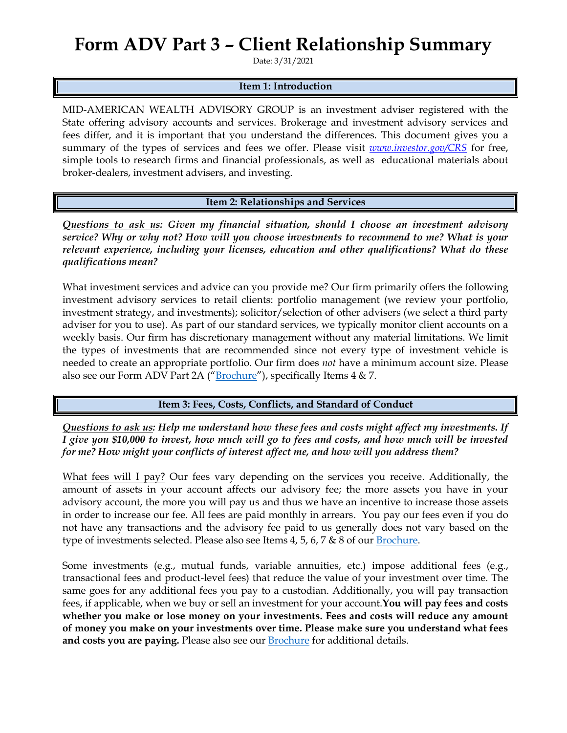## **Form ADV Part 3 – Client Relationship Summary**

Date: 3/31/2021

#### **Item 1: Introduction**

MID-AMERICAN WEALTH ADVISORY GROUP is an investment adviser registered with the State offering advisory accounts and services. Brokerage and investment advisory services and fees differ, and it is important that you understand the differences. This document gives you a summary of the types of services and fees we offer. Please visit *[www.investor.gov/CRS](http://www.investor.gov/CRS)* for free, simple tools to research firms and financial professionals, as well as educational materials about broker-dealers, investment advisers, and investing.

**Item 2: Relationships and Services**

*Questions to ask us: Given my financial situation, should I choose an investment advisory service? Why or why not? How will you choose investments to recommend to me? What is your relevant experience, including your licenses, education and other qualifications? What do these qualifications mean?*

What investment services and advice can you provide me? Our firm primarily offers the following investment advisory services to retail clients: portfolio management (we review your portfolio, investment strategy, and investments); solicitor/selection of other advisers (we select a third party adviser for you to use). As part of our standard services, we typically monitor client accounts on a weekly basis. Our firm has discretionary management without any material limitations. We limit the types of investments that are recommended since not every type of investment vehicle is needed to create an appropriate portfolio. Our firm does *not* have a minimum account size. Please also see our Form ADV Part 2A ("**[Brochure](https://adviserinfo.sec.gov/firm/summary/301621)**"), specifically Items 4 & 7.

**Item 3: Fees, Costs, Conflicts, and Standard of Conduct** 

*Questions to ask us: Help me understand how these fees and costs might affect my investments. If I give you \$10,000 to invest, how much will go to fees and costs, and how much will be invested for me? How might your conflicts of interest affect me, and how will you address them?* 

What fees will I pay? Our fees vary depending on the services you receive. Additionally, the amount of assets in your account affects our advisory fee; the more assets you have in your advisory account, the more you will pay us and thus we have an incentive to increase those assets in order to increase our fee. All fees are paid monthly in arrears. You pay our fees even if you do not have any transactions and the advisory fee paid to us generally does not vary based on the type of investments selected. Please also see Items 4, 5, 6, 7 & 8 of our [Brochure.](https://adviserinfo.sec.gov/firm/summary/301621)

Some investments (e.g., mutual funds, variable annuities, etc.) impose additional fees (e.g., transactional fees and product-level fees) that reduce the value of your investment over time. The same goes for any additional fees you pay to a custodian. Additionally, you will pay transaction fees, if applicable, when we buy or sell an investment for your account.**You will pay fees and costs whether you make or lose money on your investments. Fees and costs will reduce any amount of money you make on your investments over time. Please make sure you understand what fees**  and costs you are paying. Please also see our **[Brochure](https://adviserinfo.sec.gov/firm/summary/301621)** for additional details.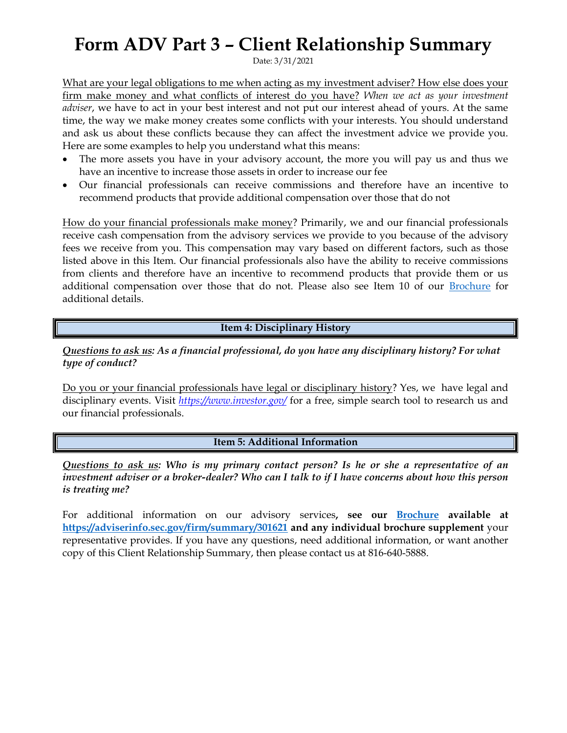## **Form ADV Part 3 – Client Relationship Summary**

Date: 3/31/2021

What are your legal obligations to me when acting as my investment adviser? How else does your firm make money and what conflicts of interest do you have? *When we act as your investment adviser*, we have to act in your best interest and not put our interest ahead of yours. At the same time, the way we make money creates some conflicts with your interests. You should understand and ask us about these conflicts because they can affect the investment advice we provide you. Here are some examples to help you understand what this means:

- The more assets you have in your advisory account, the more you will pay us and thus we have an incentive to increase those assets in order to increase our fee
- Our financial professionals can receive commissions and therefore have an incentive to recommend products that provide additional compensation over those that do not

How do your financial professionals make money? Primarily, we and our financial professionals receive cash compensation from the advisory services we provide to you because of the advisory fees we receive from you. This compensation may vary based on different factors, such as those listed above in this Item. Our financial professionals also have the ability to receive commissions from clients and therefore have an incentive to recommend products that provide them or us additional compensation over those that do not. Please also see Item 10 of our [Brochure](https://adviserinfo.sec.gov/firm/summary/301621) for additional details.

**Item 4: Disciplinary History**

*Questions to ask us: As a financial professional, do you have any disciplinary history? For what type of conduct?*

Do you or your financial professionals have legal or disciplinary history? Yes, we have legal and disciplinary events. Visit *<https://www.investor.gov/>* for a free, simple search tool to research us and our financial professionals.

#### **Item 5: Additional Information**

*Questions to ask us: Who is my primary contact person? Is he or she a representative of an investment adviser or a broker-dealer? Who can I talk to if I have concerns about how this person is treating me?*

For additional information on our advisory services**, see our [Brochure](https://adviserinfo.sec.gov/firm/summary/301621) available at <https://adviserinfo.sec.gov/firm/summary/301621> and any individual brochure supplement** your representative provides. If you have any questions, need additional information, or want another copy of this Client Relationship Summary, then please contact us at 816-640-5888.